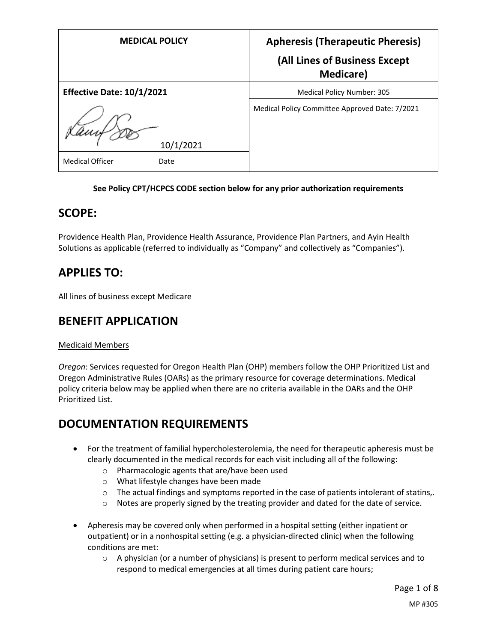| <b>MEDICAL POLICY</b>            | <b>Apheresis (Therapeutic Pheresis)</b>            |
|----------------------------------|----------------------------------------------------|
|                                  | (All Lines of Business Except<br><b>Medicare</b> ) |
| <b>Effective Date: 10/1/2021</b> | <b>Medical Policy Number: 305</b>                  |
| 10/1/2021                        | Medical Policy Committee Approved Date: 7/2021     |
| <b>Medical Officer</b><br>Date   |                                                    |

#### **See Policy CPT/HCPCS CODE section below for any prior authorization requirements**

### **SCOPE:**

Providence Health Plan, Providence Health Assurance, Providence Plan Partners, and Ayin Health Solutions as applicable (referred to individually as "Company" and collectively as "Companies").

## **APPLIES TO:**

All lines of business except Medicare

# **BENEFIT APPLICATION**

#### Medicaid Members

*Oregon*: Services requested for Oregon Health Plan (OHP) members follow the OHP Prioritized List and Oregon Administrative Rules (OARs) as the primary resource for coverage determinations. Medical policy criteria below may be applied when there are no criteria available in the OARs and the OHP Prioritized List.

## **DOCUMENTATION REQUIREMENTS**

- For the treatment of familial hypercholesterolemia, the need for therapeutic apheresis must be clearly documented in the medical records for each visit including all of the following:
	- o Pharmacologic agents that are/have been used
	- o What lifestyle changes have been made
	- $\circ$  The actual findings and symptoms reported in the case of patients intolerant of statins,.
	- $\circ$  Notes are properly signed by the treating provider and dated for the date of service.
- Apheresis may be covered only when performed in a hospital setting (either inpatient or outpatient) or in a nonhospital setting (e.g. a physician-directed clinic) when the following conditions are met:
	- $\circ$  A physician (or a number of physicians) is present to perform medical services and to respond to medical emergencies at all times during patient care hours;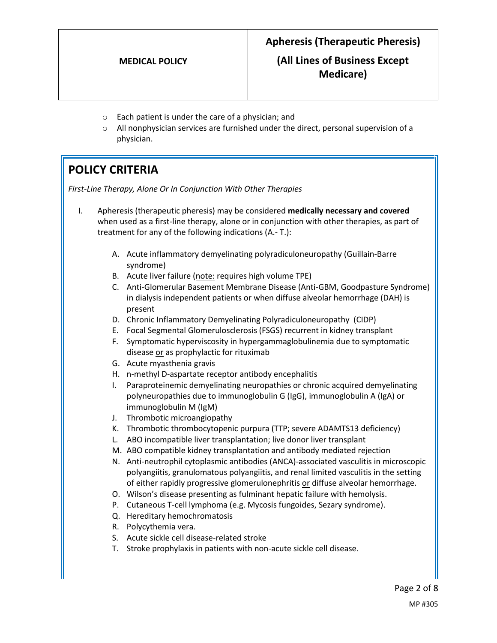**(All Lines of Business Except Medicare)**

- o Each patient is under the care of a physician; and
- $\circ$  All nonphysician services are furnished under the direct, personal supervision of a physician.

# **POLICY CRITERIA**

*First-Line Therapy, Alone Or In Conjunction With Other Therapies*

- I. Apheresis (therapeutic pheresis) may be considered **medically necessary and covered** when used as a first-line therapy, alone or in conjunction with other therapies, as part of treatment for any of the following indications (A.- T.):
	- A. Acute inflammatory demyelinating polyradiculoneuropathy (Guillain-Barre syndrome)
	- B. Acute liver failure (note: requires high volume TPE)
	- C. Anti-Glomerular Basement Membrane Disease (Anti-GBM, Goodpasture Syndrome) in dialysis independent patients or when diffuse alveolar hemorrhage (DAH) is present
	- D. Chronic Inflammatory Demyelinating Polyradiculoneuropathy (CIDP)
	- E. Focal Segmental Glomerulosclerosis (FSGS) recurrent in kidney transplant
	- F. Symptomatic hyperviscosity in hypergammaglobulinemia due to symptomatic disease or as prophylactic for rituximab
	- G. Acute myasthenia gravis
	- H. n-methyl D-aspartate receptor antibody encephalitis
	- I. Paraproteinemic demyelinating neuropathies or chronic acquired demyelinating polyneuropathies due to immunoglobulin G (IgG), immunoglobulin A (IgA) or immunoglobulin M (IgM)
	- J. Thrombotic microangiopathy
	- K. Thrombotic thrombocytopenic purpura (TTP; severe ADAMTS13 deficiency)
	- L. ABO incompatible liver transplantation; live donor liver transplant
	- M. ABO compatible kidney transplantation and antibody mediated rejection
	- N. Anti-neutrophil cytoplasmic antibodies (ANCA)-associated vasculitis in microscopic polyangiitis, granulomatous polyangiitis, and renal limited vasculitis in the setting of either rapidly progressive glomerulonephritis or diffuse alveolar hemorrhage.
	- O. Wilson's disease presenting as fulminant hepatic failure with hemolysis.
	- P. Cutaneous T-cell lymphoma (e.g. Mycosis fungoides, Sezary syndrome).
	- Q. Hereditary hemochromatosis
	- R. Polycythemia vera.
	- S. Acute sickle cell disease-related stroke
	- T. Stroke prophylaxis in patients with non-acute sickle cell disease.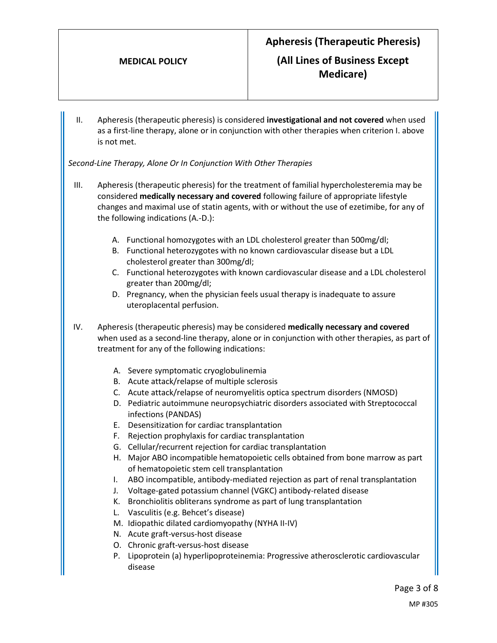II. Apheresis (therapeutic pheresis) is considered **investigational and not covered** when used as a first-line therapy, alone or in conjunction with other therapies when criterion I. above is not met.

*Second-Line Therapy, Alone Or In Conjunction With Other Therapies*

- III. Apheresis (therapeutic pheresis) for the treatment of familial hypercholesteremia may be considered **medically necessary and covered** following failure of appropriate lifestyle changes and maximal use of statin agents, with or without the use of ezetimibe, for any of the following indications (A.-D.):
	- A. Functional homozygotes with an LDL cholesterol greater than 500mg/dl;
	- B. Functional heterozygotes with no known cardiovascular disease but a LDL cholesterol greater than 300mg/dl;
	- C. Functional heterozygotes with known cardiovascular disease and a LDL cholesterol greater than 200mg/dl;
	- D. Pregnancy, when the physician feels usual therapy is inadequate to assure uteroplacental perfusion.
- IV. Apheresis (therapeutic pheresis) may be considered **medically necessary and covered** when used as a second-line therapy, alone or in conjunction with other therapies, as part of treatment for any of the following indications:
	- A. Severe symptomatic cryoglobulinemia
	- B. Acute attack/relapse of multiple sclerosis
	- C. Acute attack/relapse of neuromyelitis optica spectrum disorders (NMOSD)
	- D. Pediatric autoimmune neuropsychiatric disorders associated with Streptococcal infections (PANDAS)
	- E. Desensitization for cardiac transplantation
	- F. Rejection prophylaxis for cardiac transplantation
	- G. Cellular/recurrent rejection for cardiac transplantation
	- H. Major ABO incompatible hematopoietic cells obtained from bone marrow as part of hematopoietic stem cell transplantation
	- I. ABO incompatible, antibody-mediated rejection as part of renal transplantation
	- J. Voltage-gated potassium channel (VGKC) antibody-related disease
	- K. Bronchiolitis obliterans syndrome as part of lung transplantation
	- L. Vasculitis (e.g. Behcet's disease)
	- M. Idiopathic dilated cardiomyopathy (NYHA II-IV)
	- N. Acute graft-versus-host disease
	- O. Chronic graft-versus-host disease
	- P. Lipoprotein (a) hyperlipoproteinemia: Progressive atherosclerotic cardiovascular disease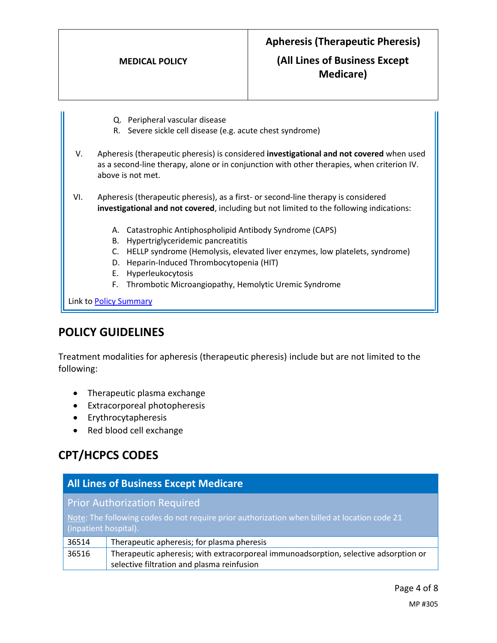## **(All Lines of Business Except Medicare)**

- Q. Peripheral vascular disease
- R. Severe sickle cell disease (e.g. acute chest syndrome)
- V. Apheresis (therapeutic pheresis) is considered **investigational and not covered** when used as a second-line therapy, alone or in conjunction with other therapies, when criterion IV. above is not met.
- VI. Apheresis (therapeutic pheresis), as a first- or second-line therapy is considered **investigational and not covered**, including but not limited to the following indications:
	- A. Catastrophic Antiphospholipid Antibody Syndrome (CAPS)
	- B. Hypertriglyceridemic pancreatitis
	- C. HELLP syndrome (Hemolysis, elevated liver enzymes, low platelets, syndrome)
	- D. Heparin-Induced Thrombocytopenia (HIT)
	- E. Hyperleukocytosis
	- F. Thrombotic Microangiopathy, Hemolytic Uremic Syndrome

Link t[o Policy Summary](#page-6-0)

### **POLICY GUIDELINES**

Treatment modalities for apheresis (therapeutic pheresis) include but are not limited to the following:

- Therapeutic plasma exchange
- Extracorporeal photopheresis
- Erythrocytapheresis
- Red blood cell exchange

# **CPT/HCPCS CODES**

| <b>All Lines of Business Except Medicare</b>                                                                          |                                                                                      |
|-----------------------------------------------------------------------------------------------------------------------|--------------------------------------------------------------------------------------|
| <b>Prior Authorization Required</b>                                                                                   |                                                                                      |
| Note: The following codes do not require prior authorization when billed at location code 21<br>(inpatient hospital). |                                                                                      |
|                                                                                                                       |                                                                                      |
| 36514                                                                                                                 | Therapeutic apheresis; for plasma pheresis                                           |
| 36516                                                                                                                 | Therapeutic apheresis; with extracorporeal immunoadsorption, selective adsorption or |
|                                                                                                                       | selective filtration and plasma reinfusion                                           |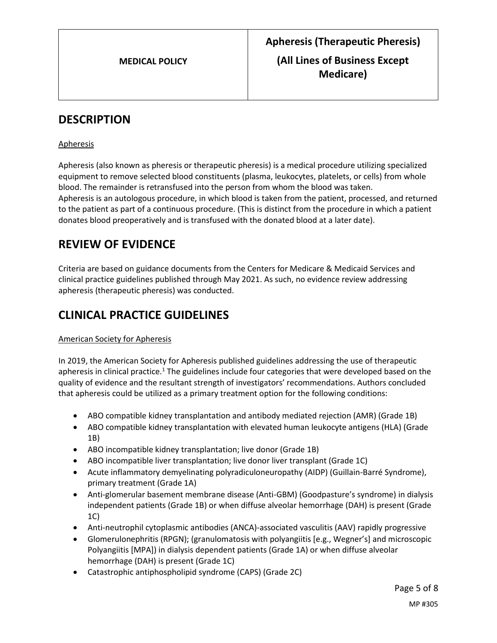# **DESCRIPTION**

#### Apheresis

Apheresis (also known as pheresis or therapeutic pheresis) is a medical procedure utilizing specialized equipment to remove selected blood constituents (plasma, leukocytes, platelets, or cells) from whole blood. The remainder is retransfused into the person from whom the blood was taken. Apheresis is an autologous procedure, in which blood is taken from the patient, processed, and returned to the patient as part of a continuous procedure. (This is distinct from the procedure in which a patient donates blood preoperatively and is transfused with the donated blood at a later date).

# **REVIEW OF EVIDENCE**

Criteria are based on guidance documents from the Centers for Medicare & Medicaid Services and clinical practice guidelines published through May 2021. As such, no evidence review addressing apheresis (therapeutic pheresis) was conducted.

# **CLINICAL PRACTICE GUIDELINES**

#### American Society for Apheresis

In 2019, the American Society for Apheresis published guidelines addressing the use of therapeutic apheresis in clinical practice.<sup>1</sup> The guidelines include four categories that were developed based on the quality of evidence and the resultant strength of investigators' recommendations. Authors concluded that apheresis could be utilized as a primary treatment option for the following conditions:

- ABO compatible kidney transplantation and antibody mediated rejection (AMR) (Grade 1B)
- ABO compatible kidney transplantation with elevated human leukocyte antigens (HLA) (Grade 1B)
- ABO incompatible kidney transplantation; live donor (Grade 1B)
- ABO incompatible liver transplantation; live donor liver transplant (Grade 1C)
- Acute inflammatory demyelinating polyradiculoneuropathy (AIDP) (Guillain-Barré Syndrome), primary treatment (Grade 1A)
- Anti-glomerular basement membrane disease (Anti-GBM) (Goodpasture's syndrome) in dialysis independent patients (Grade 1B) or when diffuse alveolar hemorrhage (DAH) is present (Grade 1C)
- Anti-neutrophil cytoplasmic antibodies (ANCA)-associated vasculitis (AAV) rapidly progressive
- Glomerulonephritis (RPGN); (granulomatosis with polyangiitis [e.g., Wegner's] and microscopic Polyangiitis [MPA]) in dialysis dependent patients (Grade 1A) or when diffuse alveolar hemorrhage (DAH) is present (Grade 1C)
- Catastrophic antiphospholipid syndrome (CAPS) (Grade 2C)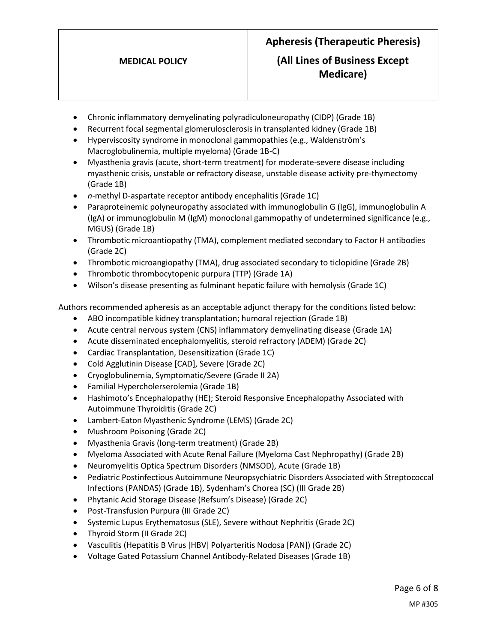#### **MEDICAL POLICY**

# **Apheresis (Therapeutic Pheresis)**

## **(All Lines of Business Except Medicare)**

- Chronic inflammatory demyelinating polyradiculoneuropathy (CIDP) (Grade 1B)
- Recurrent focal segmental glomerulosclerosis in transplanted kidney (Grade 1B)
- Hyperviscosity syndrome in monoclonal gammopathies (e.g., Waldenström's Macroglobulinemia, multiple myeloma) (Grade 1B-C)
- Myasthenia gravis (acute, short-term treatment) for moderate-severe disease including myasthenic crisis, unstable or refractory disease, unstable disease activity pre-thymectomy (Grade 1B)
- *n*-methyl D-aspartate receptor antibody encephalitis (Grade 1C)
- Paraproteinemic polyneuropathy associated with immunoglobulin G (IgG), immunoglobulin A (IgA) or immunoglobulin M (IgM) monoclonal gammopathy of undetermined significance (e.g., MGUS) (Grade 1B)
- Thrombotic microantiopathy (TMA), complement mediated secondary to Factor H antibodies (Grade 2C)
- Thrombotic microangiopathy (TMA), drug associated secondary to ticlopidine (Grade 2B)
- Thrombotic thrombocytopenic purpura (TTP) (Grade 1A)
- Wilson's disease presenting as fulminant hepatic failure with hemolysis (Grade 1C)

Authors recommended apheresis as an acceptable adjunct therapy for the conditions listed below:

- ABO incompatible kidney transplantation; humoral rejection (Grade 1B)
- Acute central nervous system (CNS) inflammatory demyelinating disease (Grade 1A)
- Acute disseminated encephalomyelitis, steroid refractory (ADEM) (Grade 2C)
- Cardiac Transplantation, Desensitization (Grade 1C)
- Cold Agglutinin Disease [CAD], Severe (Grade 2C)
- Cryoglobulinemia, Symptomatic/Severe (Grade II 2A)
- Familial Hypercholerserolemia (Grade 1B)
- Hashimoto's Encephalopathy (HE); Steroid Responsive Encephalopathy Associated with Autoimmune Thyroiditis (Grade 2C)
- Lambert-Eaton Myasthenic Syndrome (LEMS) (Grade 2C)
- Mushroom Poisoning (Grade 2C)
- Myasthenia Gravis (long-term treatment) (Grade 2B)
- Myeloma Associated with Acute Renal Failure (Myeloma Cast Nephropathy) (Grade 2B)
- Neuromyelitis Optica Spectrum Disorders (NMSOD), Acute (Grade 1B)
- Pediatric Postinfectious Autoimmune Neuropsychiatric Disorders Associated with Streptococcal Infections (PANDAS) (Grade 1B), Sydenham's Chorea (SC) (III Grade 2B)
- Phytanic Acid Storage Disease (Refsum's Disease) (Grade 2C)
- Post-Transfusion Purpura (III Grade 2C)
- Systemic Lupus Erythematosus (SLE), Severe without Nephritis (Grade 2C)
- Thyroid Storm (II Grade 2C)
- Vasculitis (Hepatitis B Virus [HBV] Polyarteritis Nodosa [PAN]) (Grade 2C)
- Voltage Gated Potassium Channel Antibody-Related Diseases (Grade 1B)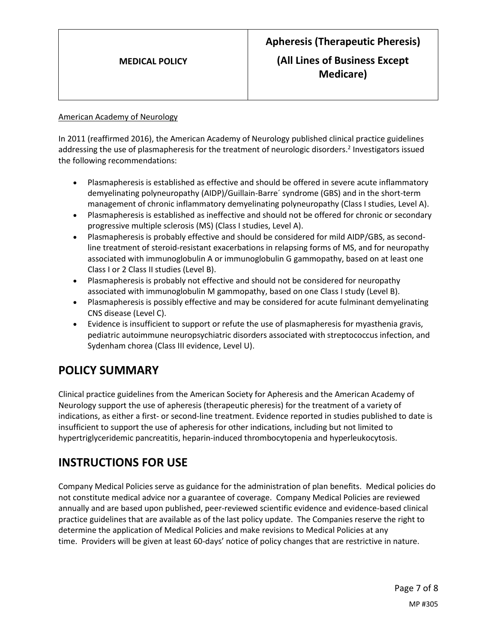#### American Academy of Neurology

In 2011 (reaffirmed 2016), the American Academy of Neurology published clinical practice guidelines addressing the use of plasmapheresis for the treatment of neurologic disorders. 2 Investigators issued the following recommendations:

- Plasmapheresis is established as effective and should be offered in severe acute inflammatory demyelinating polyneuropathy (AIDP)/Guillain-Barre´ syndrome (GBS) and in the short-term management of chronic inflammatory demyelinating polyneuropathy (Class I studies, Level A).
- Plasmapheresis is established as ineffective and should not be offered for chronic or secondary progressive multiple sclerosis (MS) (Class I studies, Level A).
- Plasmapheresis is probably effective and should be considered for mild AIDP/GBS, as secondline treatment of steroid-resistant exacerbations in relapsing forms of MS, and for neuropathy associated with immunoglobulin A or immunoglobulin G gammopathy, based on at least one Class I or 2 Class II studies (Level B).
- Plasmapheresis is probably not effective and should not be considered for neuropathy associated with immunoglobulin M gammopathy, based on one Class I study (Level B).
- Plasmapheresis is possibly effective and may be considered for acute fulminant demyelinating CNS disease (Level C).
- Evidence is insufficient to support or refute the use of plasmapheresis for myasthenia gravis, pediatric autoimmune neuropsychiatric disorders associated with streptococcus infection, and Sydenham chorea (Class III evidence, Level U).

# <span id="page-6-0"></span>**POLICY SUMMARY**

Clinical practice guidelines from the American Society for Apheresis and the American Academy of Neurology support the use of apheresis (therapeutic pheresis) for the treatment of a variety of indications, as either a first- or second-line treatment. Evidence reported in studies published to date is insufficient to support the use of apheresis for other indications, including but not limited to hypertriglyceridemic pancreatitis, heparin-induced thrombocytopenia and hyperleukocytosis.

# **INSTRUCTIONS FOR USE**

Company Medical Policies serve as guidance for the administration of plan benefits. Medical policies do not constitute medical advice nor a guarantee of coverage. Company Medical Policies are reviewed annually and are based upon published, peer-reviewed scientific evidence and evidence-based clinical practice guidelines that are available as of the last policy update. The Companies reserve the right to determine the application of Medical Policies and make revisions to Medical Policies at any time. Providers will be given at least 60-days' notice of policy changes that are restrictive in nature.